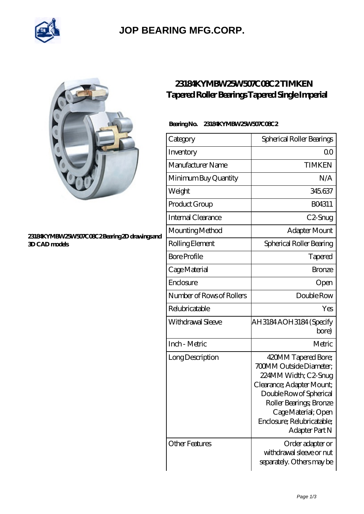

## **[JOP BEARING MFG.CORP.](https://newamericanmedia.org)**



#### **[23184KYMBW25W507C08C2 Bearing 2D drawings and](https://newamericanmedia.org/pic-630931.html) [3D CAD models](https://newamericanmedia.org/pic-630931.html)**

### **[23184KYMBW25W507C08C2 TIMKEN](https://newamericanmedia.org/tapered-roller-bearings-tapered-single-imperial/23184kymbw25w507c08c2.html) [Tapered Roller Bearings Tapered Single Imperial](https://newamericanmedia.org/tapered-roller-bearings-tapered-single-imperial/23184kymbw25w507c08c2.html)**

### **Bearing No. 23184KYMBW25W507C08C2**

| Category                  | Spherical Roller Bearings                                                                                                                                                                                                        |
|---------------------------|----------------------------------------------------------------------------------------------------------------------------------------------------------------------------------------------------------------------------------|
| Inventory                 | Q0                                                                                                                                                                                                                               |
| Manufacturer Name         | <b>TIMKEN</b>                                                                                                                                                                                                                    |
| Minimum Buy Quantity      | N/A                                                                                                                                                                                                                              |
| Weight                    | 345.637                                                                                                                                                                                                                          |
| Product Group             | BO4311                                                                                                                                                                                                                           |
| Internal Clearance        | C <sub>2</sub> -Snug                                                                                                                                                                                                             |
| Mounting Method           | Adapter Mount                                                                                                                                                                                                                    |
| Rolling Element           | Spherical Roller Bearing                                                                                                                                                                                                         |
| <b>Bore Profile</b>       | Tapered                                                                                                                                                                                                                          |
| Cage Material             | <b>Bronze</b>                                                                                                                                                                                                                    |
| Enclosure                 | Open                                                                                                                                                                                                                             |
| Number of Rows of Rollers | Double Row                                                                                                                                                                                                                       |
| Relubricatable            | Yes                                                                                                                                                                                                                              |
| Withdrawal Sleeve         | AH3184 AOH3184 (Specify<br>bore)                                                                                                                                                                                                 |
| Inch - Metric             | Metric                                                                                                                                                                                                                           |
| Long Description          | 420MM Tapered Bore;<br>700MM Outside Diameter;<br>224MM Width; C2-Snug<br>Clearance; Adapter Mount;<br>Double Row of Spherical<br>Roller Bearings, Bronze<br>Cage Material; Open<br>Enclosure; Relubricatable;<br>Adapter Part N |
| <b>Other Features</b>     | Order adapter or<br>withdrawal sleeve or nut<br>separately. Others may be                                                                                                                                                        |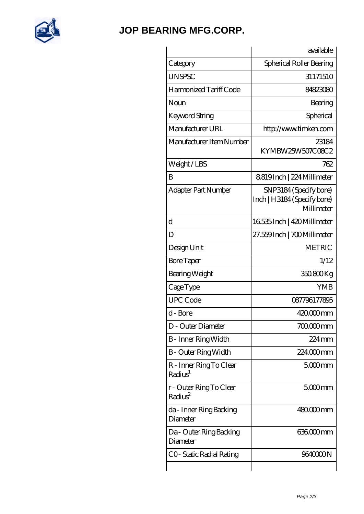

## **[JOP BEARING MFG.CORP.](https://newamericanmedia.org)**

|                                                | available                                                           |
|------------------------------------------------|---------------------------------------------------------------------|
| Category                                       | Spherical Roller Bearing                                            |
| <b>UNSPSC</b>                                  | 31171510                                                            |
| Harmonized Tariff Code                         | 84823080                                                            |
| Noun                                           | Bearing                                                             |
| Keyword String                                 | Spherical                                                           |
| Manufacturer URL                               | http://www.timken.com                                               |
| Manufacturer Item Number                       | 23184<br>KYMBW25W507C08C2                                           |
| Weight/LBS                                     | 762                                                                 |
| B                                              | 8819Inch   224 Millimeter                                           |
| Adapter Part Number                            | SNP3184 (Specify bore)<br>Inch   H3184 (Specify bore)<br>Millimeter |
| $\overline{\rm d}$                             | 16535 Inch   420 Millimeter                                         |
| D                                              | 27.559Inch   700Millimeter                                          |
| Design Unit                                    | <b>METRIC</b>                                                       |
| <b>Bore Taper</b>                              | 1/12                                                                |
| Bearing Weight                                 | 350.800Kg                                                           |
| CageType                                       | <b>YMB</b>                                                          |
| <b>UPC Code</b>                                | 087796177895                                                        |
| d - Bore                                       | $42000$ mm                                                          |
| D - Outer Diameter                             | $70000$ mm                                                          |
| B - Inner Ring Width                           | 224 mm                                                              |
| <b>B</b> - Outer Ring Width                    | 224000mm                                                            |
| R - Inner Ring To Clear<br>Radius <sup>1</sup> | $5000$ mm                                                           |
| r - Outer Ring To Clear<br>Radius <sup>2</sup> | $5000$ mm                                                           |
| da - Inner Ring Backing<br>Diameter            | 480000mm                                                            |
| Da - Outer Ring Backing<br>Diameter            | 636.000 mm                                                          |
| CO-Static Radial Rating                        | 9640000N                                                            |
|                                                |                                                                     |